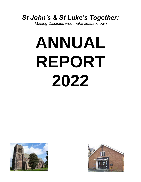## *St John's & St Luke's Together:*

*Making Disciples who make Jesus known*

# **ANNUAL REPORT 2022**



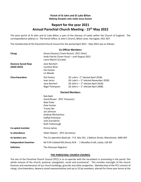#### **Parish of St John and St Luke Bilton** *Making Disciples who make Jesus known*

### **Report for the year 2021 Annual Parochial Church Meeting - 15 th May 2022**

The joint parish of St John and St Luke Bilton is part of the Diocese of Leeds within the Church of England. The correspondence address is: The Parish Office, St John's Church, Bilton Lane, Harrogate, HG1 3DT.

The membership of the Parochial Church Council for the period April 2021 - May 2022 was as follows:

| <b>Ex Officio Members</b>                    |                                                                                                                                                                                                |                                                                                                                                                                                                         |  |
|----------------------------------------------|------------------------------------------------------------------------------------------------------------------------------------------------------------------------------------------------|---------------------------------------------------------------------------------------------------------------------------------------------------------------------------------------------------------|--|
| Clergy                                       | Simon Dowson (Team Rector) (PCC Chair)<br>Andy Patrick (Team Vicar) - until August 2021<br>Laura Martin (Curate)                                                                               |                                                                                                                                                                                                         |  |
| <b>Deanery Synod Reps</b><br>$(2020 - 2023)$ | Jane Reichert<br>Caroline Wise<br>Pat Fenton<br>Liz Meade                                                                                                                                      |                                                                                                                                                                                                         |  |
| Churchwardens                                | Pat Fenton<br>Jean Jarvis<br>Jane Reichert<br>Nigel Thompson                                                                                                                                   | (St Luke's -1 <sup>st</sup> elected April 2018)<br>(St Luke's $-1^{st}$ elected November 2020)<br>(St John's - 1 <sup>st</sup> elected April 2018)<br>(St John's $-1$ <sup>st</sup> elected April 2008) |  |
| <b>Elected Members</b>                       |                                                                                                                                                                                                |                                                                                                                                                                                                         |  |
|                                              | Rob Bath<br>David Brown (PCC Treasurer)<br><b>Noel Duke</b><br>Pete Fenton<br><b>Tracey Iles</b><br>Jan Johnson<br>Andrew McHutchon<br>Daffyd Pritchard<br>Josh Scarisbrick<br>Ruth Yarborough |                                                                                                                                                                                                         |  |
| Co-opted member                              | Emma James                                                                                                                                                                                     |                                                                                                                                                                                                         |  |
| In attendance                                | Helen Mayers (PCC Secretary)                                                                                                                                                                   |                                                                                                                                                                                                         |  |
| Its bankers are:                             | The Co-operative Bank plc - P.O. Box 101, 1 Balloon Street, Manchester, M60 4EP                                                                                                                |                                                                                                                                                                                                         |  |
| <b>Independent Examiner</b>                  | Mr R M Caldwell BA (Hons) ACA - 1 Woodlea Croft, Leeds, LS6 4SF                                                                                                                                |                                                                                                                                                                                                         |  |
| <b>Solicitors</b>                            | The Diocesan Registrar                                                                                                                                                                         |                                                                                                                                                                                                         |  |

#### **THE PAROCHIAL CHURCH COUNCIL**

The aim of the Parochial Church Council (PCC) is to co-operate with the incumbent in promoting in the parish 'the whole mission of the church, pastoral, evangelistic, social and ecumenical'. This includes oversight of the church finances and maintenance of our church buildings, grounds and other properties. Membership of the PCC consists of clergy, churchwardens, deanery synod representatives and up to 10 lay members, elected for three-year terms at the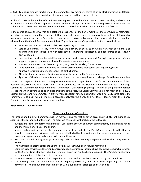APCM. To ensure smooth functioning of the committee, lay members' terms of office start and finish in different years, so that we always have a mixture of new and experienced lay representatives.

At the 2021 APCM the number of candidates seeking election to the PCC exceeded spaces available, and so for the first time in a number of years a paper vote was needed to elect just 3 of them. Following a count of the votes cast, Rob Bath and David Brown were duly re-elected to PCC and Daffyd Pritchard was elected for the first time.

In the course of 2021 the PCC met on a total of 9 occasions. For the first 8 months of the year Covid 19 restrictions on public gatherings meant that meetings still had to be held online using the Zoom platform, but the PCC were able to convene again in person by September. Some business arising between meetings was conducted via email (as allowed for in the Church Representation Rules). Topics for discussion/approval and actions taken included:

- Whether, and how, to maintain public worship during lockdown
- Setting up a Parish Strategy Review Group and a review of our Mission Action Plan, with an emphasis on strengthening our relationships with local schools, improving discipleship, and concentrating on recovery post-pandemic
- New ventures, such as the establishment of new small house groups and Kintsugi Hope groups (safe and supportive spaces to make a positive difference to mental well-being)
- Youthwork initiatives, spearheaded by our young people's worker, Emma James
- Development of a parish 'dashboard' system to assist effective monitoring of safeguarding issues
- Approvals for routine maintenance tasks at both churches
- After the departure of Andy Patrick, reassessing the future of the Team Vicar role
- Approval of the church accounts and discussion of the continuing financial challenges faced by our churches.

The PCC discharges its duties with the help of committees which report back to the full PCC, with minutes of their decisions discussed further as necessary. Those committees are the Standing Committee, Finance & Buildings Committee, Environmental Group and Social Committee. Unsurprisingly perhaps, in light of the pandemic-related restrictions which continued to be in place throughout the year, the Social Committee did not meet at all in 2021. Neither did the Standing Committee, it proving more expedient for any matters that would normally come before the committee to be dealt with in informal discussions between the clergy and wardens. Reports from the Finance Committee and Environmental Group appear below.

#### *Helen Mayers – PCC Secretary*

#### **Finance and Buildings Committee**

The Finance and Buildings Committee has ten members and has met on seven occasions in 2021, continuing to use Zoom until the second half of the year. The areas we have dealt with included the following:

- Budgets are set for the forthcoming financial year taking account of current commitments, maintenance needs, and the mission priorities of the church.
- Income and expenditure are regularly monitored against the budget. Our Parish Share payments to the Diocese have been kept under review and, with income still affected by the covid restrictions, it again became necessary to cap our payments to avoid undue strain on our finances.
- We have obtained funding from grant-making bodies for livestreaming equipment and for the Young People's Worker.
- The financial arrangements for the Young People's Worker have been regularly reviewed.
- Communications with our donors and congregations on our financial position have been discussed, including plans for the Stewardship Month in Feb 2022. Information on Gift Aid has been produced. The Parish Giving Scheme has been monitored following its introduction.
- An annual review of rents and hire charges for our rooms and properties is carried out by the committee.
- The buildings and their maintenance are also regularly discussed, with the wardens reporting back to the committee. The quinquennial inspection of St Luke's building was arranged and carried out.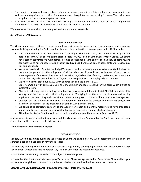- The committee also considers one-off and unforeseen items of expenditure. This year building repairs, equipment for live-streaming of services, options for a new photocopier/printer, and advertising for a new Team Vicar have come up for consideration, amongst other issues.
- A review of our Mission Giving (Extra Parochial Giving) is carried out to ensure we meet our annual target as set out in the PCC policy on the Payment of Grants and Donations to Charities.

We also ensure the annual accounts are produced and examined externally.

#### *David Brown – PCC Treasurer*

#### **Environmental Group**

The Green team have continued to meet around every 6 weeks in prayer and action to support and encourage sustainable living and caring for God's creation. Matters discussed/actions taken or proposed in 2021 included:

- Two coffee mornings: the first, celebrating reopening in September 2021, was in aid of Horticap and the gardening team, with a second taking place in February 2022 in aid of Bilton Conservation Group. We aim to have 'carbon conversations' with patrons promoting sustainable living and we sell a variety of items reusing old materials to raise funds, including cotton produce bags, handmade bars of soap, cotton face pads, bugs tins and hairbands.
- We work closely with Rob Bath and Nigel Thompson on the gardening team, who have worked tirelessly to maintain the grounds for the enjoyment of all, including the birds and bees, with areas left unmown for encouragement of native wildlife. A team have visited regularly to identify many species and document them on the plan originally penned by Terry Wagner, now in digital format on display in both churches.
- We hosted a litter pick in June 2021 (with another taking place in March '22).
- Claire teamed up with Emma James in the late summer and led a meeting for the older youth groups on sustainable living.
- Bike rack although we are finding this a lengthy process, we still hope to install Sheffield stands for bike locking near the church hall in the coming months. The tying in of the faculty applications and funding application has been tricky and a decision to downsize the project has meant this is now more manageable.
- Creationtide for 3 Sundays from the 19<sup>th</sup> September Simon lead the services in worship and prayer with interviews of members of the green team at both St Luke's and St John's.
- We continue to contribute regularly to the weekly newssheet and monthly magazine and have produced a leaflet detailing sites for recycling unusual or harder to recycle items and plastic free shopping.
- Attending the Saving Creation webinar led by Jemima Parker from the diocese in February 2022.

And we were absolutely delighted to be awarded the Silver award from Arocha in March 2022. We hope to have a celebration for this when we get the bike rack in.

#### *Claire Golightly – Environmental Officer*

#### **DEANERY SYNOD**

Deanery Synod met 3 times during the year: twice on Zoom and once in person. We generally meet 4 times, but the summer meeting did not happen for various reasons.

The February meeting consisted of presentations on clergy and lay training opportunities by Marian Russell, Clergy Development Officer, and Julia Robertson, Lay Training Officer for the Ripon Episcopal Area.

In May Bishop Helen-Ann gave a talk on the subject of 're-emergence'.

In November the director and café manager of Resurrected Bites gave a presentation. Resurrected Bites is a Harrogate and Knaresborough based community organisation which aims to reduce food waste and food poverty.

#### *Caroline Wise, Jane Reichert, Pat Fenton and Liz Meade – Deanery Synod reps*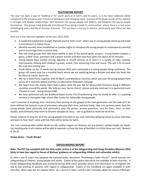#### **YOUTHWORK REPORT**

This year has been a year of 'bedding in' for youth work at St John's and St Luke's, as it has been relatively stable compared to the previous year in terms of lockdowns and changing rules! And one of the great results of this stability is stronger and deeper relationships, both between the young people and leaders, and between the young people themselves. The groups have gradually transitioned from being crowds to communities, where there is a real sense of belonging and a sharing of common interests. This has been a real joy to witness, particularly over these last few months.

Here are a few selected highlights of the year 2021-2022:

- A residential weekend to Scargill, themed around 'God's Love', which saw 11 young people stand up and make a commitment to follow Jesus.
- Monthly worship times established on Sunday nights to introduce the young people to contemporary worship and to encourage them to praise God.
- Peer-led small groups that take place weekly as part of the overall Ignite sessions. Young leaders prepare a game, a bible verse, questions and a prayer activity and then lead their peers for about 20-25 minutes.
- Young people have started serving regularly in church services at St John's in a variety of roles: reading, intercessions, helping with children's groups, sound / live-streaming rotas and music. The aim is to increase this over this coming year.
- Youth Alpha ran for 11 weeks during Autumn 2021 and culminated in 6 young people being confirmed. The group still meets now (on a monthly basis) where we are exploring being a disciple and what this looks like for them at school, home etc.
- We ran a Glow Party, together with St Mark's and Mowbray churches which saw over 60 young people from across all 4 churches attend and hear an alternative Halloween message.
- We heard from the charity Open Doors about what life was like for persecuted Christians living in different countries around the world. We held our own 'secret church' session and also took part in a sponsored event 'Choose to Lose', raising almost £300.
- We have partnered with the Bradford-based charity TLG (Transforming Lives for Good) to offer 1:1 coaching sessions in Harrogate High school after Easter for vulnerable young people.

I can't conceive of anything more necessary than passing on the gospel to the next generation and this task can't be done without the fantastic team of volunteers who give their time, and love freely: they turn up every week, feed the young people (both physically and spiritually!), play silly games, answer questions, care for them, listen to their doubts, and ultimately help them to become disciples of Jesus. I am so grateful to them for all of this.

Please continue to pray for all of the young people entrusted to our care; that they will grow closer to Jesus; that they will learn to hear God's voice and that they will be led by his Spirit.

*'For I am convinced that neither death nor life, neither angels nor demons, nor any powers, neither height nor depth, nor anything else in all creation will be able to separate us from the love of God that is in Christ Jesus our Lord.' Romans 8: 38-39* 

#### *Emma James – Youth Worker*

#### **SAFEGUARDING REPORT**

**Note: The PCC has complied with the duty under section 5 of the Safeguarding and Clergy Discipline Measure 2016 (duty to have due regard to House of Bishops' guidance on safeguarding children and vulnerable adults).**

St John's and St Luke's has adopted the national policy document "Promoting a Safer Church", which ensures the safeguarding of children, young people and adults. Copies of this policy document are available at both churches. A Parish Safeguarding Handbook was produced during 2018 which provides advice and information to strengthen the day to day working of parishes with regard to safeguarding. Copies of the handbook are again available in both churches. (New copy due for release 2022). As a church St John's and St Luke's formally adopt the House of Bishops'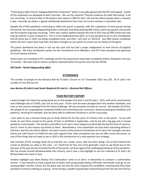"Promoting a Safer Church; Safeguarding Policy Statement" which is annually agreed with the PCC and signed. Copies of this statement are displayed at both churches. We use the national "Practice Guidance for Safer Recruiting" in all our recruiting. A record is kept of all workers who require a DBS for their role and we inform people when a renewal is due. Annually we obtain a signed confidential declaration form from all current workers in specified roles.

Despite the COVID pandemic continuing to affect the parish so greatly, with the suspension of most groups during this period, the necessary safeguarding duties continued, including updating DBS checks, and it was great to eventually see the majority of groups resuming. There was a policy update towards the end of 2021 that all DBS checks will now only be valid for 3 years instead of 5. This is to be implemented by 2025, so I have decided to act on this immediately and all those due in 2022 are being completed early, and then I will start on 2023/24. Any DBS checks completed within the last 2 years have had their end dates changed on my system to ensure we are ahead of the game.

The parish dashboard has been in full use this year and has had a major realignment to new Church of England guidelines. We have introduced a policy for the recruitment of ex-offenders, and PCC have reviewed and approved all church group activities.

Action plans are reviewed at PCC meetings and all risk assessments have been completed and/or reviewed in the last 12 months. We have had no serious incidents reported within the parish since the last APCM.

#### *Gill Clarke - Parish Safeguarding Office*

#### **ATTENDANCE**

The number of people on the Electoral Roll for St John's Church on 31<sup>st</sup> December 2021 was 203. At St Luke's the number on the Roll was 55.

#### *Jean Burton (St John's) and Sarah Shepherd (St Luke's) – Electoral Roll Officers*

#### **TEAM RECTOR'S REPORT**

I want to begin this report by saying thank you to the people of St John's and St Luke's. 2021, with all its uncertainties and challenges due to COVID, was not an easy year. At the start we were plunged back into another lockdown, and even as the country emerged from this latest challenge, life was certainly not back to normal. But despite all of this, the people of our congregations remained faithful and committed and, moreover, demonstrated great flexibility and patience, meaning for example, that we were able to celebrate Christmas in all the usual ways.

I also want to say a massive thank you to Andy Patrick for his five years of ministry here in the parish. As you will recall, he and Claire moved to the parish of Dore in Sheffield in September, and he has left a big gap and is missed greatly by many people. The wardens and others at St Luke's have stepped up admirably during this time of vacancy, and so I want to also express my thanks to them. Nevertheless, since September we have been operating without a full team, and this has had its effects, not least in terms of the sense of momentum at St Luke's (for example, we have had to put Café Church on hold) but also with regard to the level of pastoral care we can offer across the parish, so one of the things that we hope to see in 2022 is the introduction of a new pastoral care strategy.

And mention of this strategy leads me to mention our curate, Laura, who has been doing a lot of work behind the scenes to develop our plans in this area – so I thank her for this, but more generally I want to say thank you to her because of the way she has enriched the life of the parish, not least against the challenging backdrop of the pandemic. She has thrown herself wholeheartedly into ministry, and it was a real highlight to see her ordained at St John's by Bishop Helen-Ann back in June.

Another highlight was when Bishop Chris Edmondson came to St John's in November to conduct a confirmation service. It was fantastic to have a good mix of adults and young people being confirmed, and thanks must go to our young people's worker, Emma, for the great way she and the team inspired the candidates, meaning that they have wanted to continue meeting as a group. Emma brings a wealth of good ideas and enthusiasm for the role and she has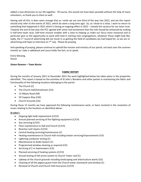added a new dimension to our life together. Of course, this would not have been possible without the help of many volunteers, so thank you to them as well.

Having said all this, it does seem strange that as I write we are one third of the way into 2022, and yet this report should only refer to the events of 2021, which do seem a long time ago! So, as I draw to a close, I want to return to something that happened in 2021 which is having an ongoing effect in 2022 – namely the vacancy for our team vicar. Towards the end of last year the PCC agreed with some real excitement that this role should be enhanced by making it half-time team vicar, half-time mission enabler with a view to helping us make our focus more missional and in particular give us the opportunity to work with God in starting new congregations, whatever those might look like. Sadly, the 1<sup>st</sup> round of advertising did not result in us getting the field of candidates we had hoped for, so we are readvertising and hope to interview on  $7<sup>th</sup>$  July. Please be praying.

And speaking of praying, please continue to uphold the mission and ministry of our parish, not least over the summer months as I take a sabbatical and Laura holds the fort, so to speak.

Every blessing, Simon

#### *Simon Dowson – Team Rector*

#### **FABRIC REPORT**

During the months of January 2021 to December 2021 the work highlighted below has taken place in the properties identified. This report is based on the activities of St John's Wardens and other parties in maintaining the fabric and functionality of the following locations belonging to the parish:

- The Church (C)
- The Church Hall/Schoolroom (CH)
- 13 Albany Road (AR)
- 59 Coppice Way (CW)
- Church Grounds (CG)

During these 12 months we have approved the following maintenance work, or been involved in the resolution of issues relating to the locations as identified above:

#### **St John's**

- Ongoing light bulb replacement (C/CH)
- Annual planned servicing of fire-fighting equipment (C/CH)
- Gas servicing (C/CH)
- Floor maintenance to Hall and Church (C/CH)
- Reactive roof repairs (C/CH)
- Central heating servicing/maintenance (C)
- Heating maintenance to Church Hall including heater servicing/improvements (CH)
- Lightning conductor testing (C)
- Maintenance to Audio System (C)
- Programmed window cleaning as required (CH)
- Servicing of 2 nr lawnmowers (CG)
- Planned servicing of heating systems (C/CH)
- Annual testing of fall arrest system to Church Tower roof (C)
- Upkeep of the church grounds including landscaping and arboriculture works (CG)
- Cleaning of all the pigeon guano from the Church tower stonework and window (C)
- Renewal of Church and Church Hall Insurances (C/CH)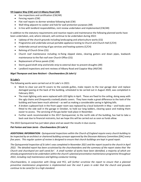#### **59 Coppice Way (CW) and 13 Albany Road (AR)**

- Gas inspections and certification (CW/AR)
- Fencing repairs (CW)
- Flat roof repairs to dormer window following leak (CW)
- Wall tiling adjacent to cooker and hob for wall protection purposes (AR)
- In line with landlord responsibilities, rent review undertaken and implemented (CW/AR)

In addition to the statutory requirements and reactive repairs and maintenance the following planned works have been undertaken, and, where relevant, will continue to be undertaken during 2022:

- Upkeep of the church grounds including landscaping and arboriculture works (CG)
- Programme and undertake annual portable appliance testing to Church and Church Hall (C/CH)
- Undertake annual servicing of gas services and heating systems (C/CH)
- Relining of Church Drive (CG)
- Church roof maintenance including re-fixing slipped slates, clearing gutters and down pipes, leadwork maintenance to the flat roof over Church Office (CG)
- Replacement of fence panels (CW)
- Storm guard draft strip and bristle strip to external door to prevent draughts (AR)
- Landlord inspections and rent reviews of Albany Road and Coppice Way (AR/CW)

#### *Nigel Thompson and Jane Reichert - Churchwardens (St John's)*

#### **St Luke's**

The following works were carried out at St Luke's in 2021:

- Work to clear out and fit covers to the outside gullies, make repairs to the rear garage door and replace damaged paving at the back of the building, scheduled to be carried out in August 2020, was completed in February 2021.
- The main lighting units were replaced with LED lights in April. These are fixed to the ceiling, doing away with the ugly chains and (frequently cracked) plastic covers. They have made a great difference to the look of the building and have been much admired – as well as making a considerable saving in lighting bills.
- A broken cupboard lock in the front upper room was replaced by a local locksmith in May and hooks were fitted to the side wall in the garage in October, to hold our long ladders, clearing space and making them easier to access. The servicing of the gas boiler took place in November.
- Further work recommended in the 2017 Quinquennial, to the north side of the building, has had to take a back seat due to financial restraints, but we hope this will be carried out as soon as funds allow.

The 2022 Quinquennial has just taken place and we await the results in due course.

#### *Pat Fenton and Jean Jarvis - Churchwardens (St Luke's)*

*ADDITIONAL INFORMATION: Quinquennial Inspections within the Church of England require every church building to be inspected by an architect or chartered building surveyor approved by the Diocesan Advisory Committee (DAC) every five years. This regular system of review is designed to ensure that church buildings are kept in good repair.*

*The Quinquennial Inspection of St John's was completed in November 2021 and the report issued to the church in April 2022. The detailed report has been scrutinised by the churchwardens and the summary of the report states that 'the Church and churchyard are well cared for'. A small number of works have been identified, a majority of which are already programmed to be undertaken within the church's planned preventative maintenance programme throughout 2022, including roof maintenance and lighting conductor testing.* 

*Churchwardens, in conjunction with Clergy and PCC, will further scrutinise the report to ensure that a planned preventive maintenance programme is implemented over the next 5 years in order that the church and grounds continue to be cared for to a high standard.*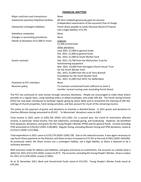#### **FINANCIAL MATTERS**

| Major cash/non-cash transactions:           | None                                                                                                                                                                                                                                                                                                       |
|---------------------------------------------|------------------------------------------------------------------------------------------------------------------------------------------------------------------------------------------------------------------------------------------------------------------------------------------------------------|
| Substantial voluntary help/free facilities: | Mr Ross Caldwell generously gave his services<br>(independent examination of the accounts) free of charge                                                                                                                                                                                                  |
| Substantial contingent liabilities:         | Parish Share payable to Leeds Diocesan Board of Finance<br>(not a legal liability): £73,701                                                                                                                                                                                                                |
| Subsidiary companies:                       | None                                                                                                                                                                                                                                                                                                       |
| Changes in accounting procedures:           | None                                                                                                                                                                                                                                                                                                       |
| Details of donations of £1,000 or more:     | Legacies<br>£1,500 unrestricted                                                                                                                                                                                                                                                                            |
|                                             | Other donations<br>June 2021: £1,000 to general funds<br>Oct. 2021: £1,000 to general funds<br>Dec. 2021: £1,000 to Youth Worker fund                                                                                                                                                                      |
| Grants received:                            | Feb. 2021: £3,700 from the Allchurches Trust for<br>livestreaming equipment<br>Mar. 2021: £5,000 from Harrogate Church House Trust<br>for the Youth Worker fund<br>Dec. 2021: £5,000 from the Liz & Terry Bramall<br>Foundation for the Youth Worker fund<br>Dec. 2021: £1,000 from NYCC for defibrillator |
| Payments to PCC members:                    | None                                                                                                                                                                                                                                                                                                       |
| Reserves policy:                            | To maintain unrestricted funds sufficient to meet 3<br>months' normal running costs (excluding Parish Share)                                                                                                                                                                                               |

The PCC has continued to raise money through voluntary donations. People are encouraged to make these where possible on a regular basis, using standing orders or dated envelopes, and under Gift Aid. The Parish Giving Scheme (PGS) has now been introduced to facilitate regular giving by direct debit and to streamline the claiming of Gift Aid. Lettings of church properties, fund-raising activities, and fees account for much of the remaining income.

The policy on the payment of grants and donations to charities is detailed below. In 2021 grants and donations to charities (Mission Giving) amounted to £9,337. 'In Memoriam' donations came to £467.

Total income in 2021 came to £205,765 (2020: £211,595). For a second year, the Covid-19 restrictions affected income, in particular rental income, free will collections, envelope giving, and fundraising. However, we benefited from bequests, donations, and grants for the Young People's Worker (YPW) and for general funds. Income excluding YPW amounted to £192,813 (2020: £196,883). Regular Giving, excluding Mission Giving and YPW donations, stood at £123,611 (2020: £122,966).

Total expenditure in 2021 came to £219,179 (2020: £208,718). Due to the reduced income, it was again necessary to cap Parish Share payments to the Diocese, and Share arrears increased to £73,701 at the end of 2021 (2020: £49,030). As previously noted, the Share arrears are a contingent liability, not a legal liability, as Share is deemed to be a voluntary donation.

With provision made for debtors and liabilities, and gains and losses on investments, the accounts as a whole show a deficit for 2021 of £13,415 (2020: surplus £2,877). The accounts, excluding the Young People's Worker, show a surplus for 2021 of £1,078 (2020: surplus £7,865).

As at 31 December 2021, Bank and Unrestricted funds stood at £52,559. Young People's Worker funds stood at £45,562.